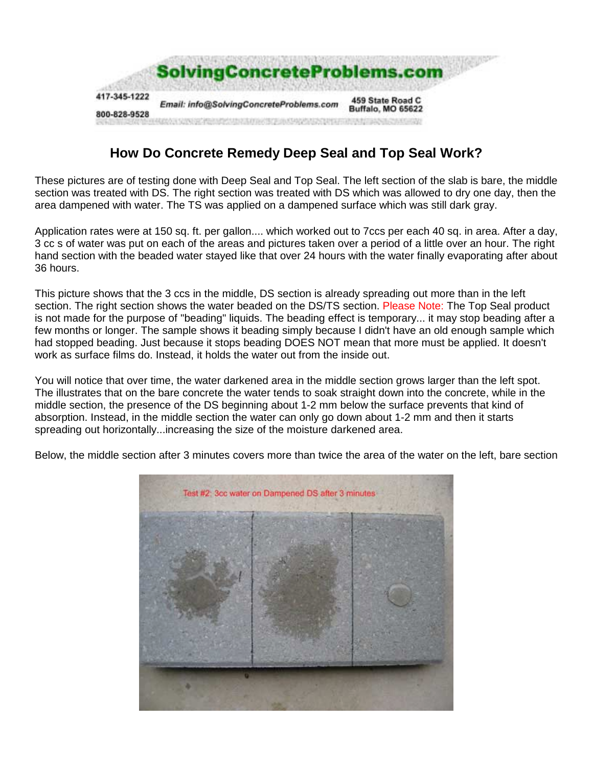

## **How Do Concrete Remedy Deep Seal and Top Seal Work?**

These pictures are of testing done with Deep Seal and Top Seal. The left section of the slab is bare, the middle section was treated with DS. The right section was treated with DS which was allowed to dry one day, then the area dampened with water. The TS was applied on a dampened surface which was still dark gray.

Application rates were at 150 sq. ft. per gallon.... which worked out to 7ccs per each 40 sq. in area. After a day, 3 cc s of water was put on each of the areas and pictures taken over a period of a little over an hour. The right hand section with the beaded water stayed like that over 24 hours with the water finally evaporating after about 36 hours.

This picture shows that the 3 ccs in the middle, DS section is already spreading out more than in the left section. The right section shows the water beaded on the DS/TS section. Please Note: The Top Seal product is not made for the purpose of "beading" liquids. The beading effect is temporary... it may stop beading after a few months or longer. The sample shows it beading simply because I didn't have an old enough sample which had stopped beading. Just because it stops beading DOES NOT mean that more must be applied. It doesn't work as surface films do. Instead, it holds the water out from the inside out.

You will notice that over time, the water darkened area in the middle section grows larger than the left spot. The illustrates that on the bare concrete the water tends to soak straight down into the concrete, while in the middle section, the presence of the DS beginning about 1-2 mm below the surface prevents that kind of absorption. Instead, in the middle section the water can only go down about 1-2 mm and then it starts spreading out horizontally...increasing the size of the moisture darkened area.

Below, the middle section after 3 minutes covers more than twice the area of the water on the left, bare section

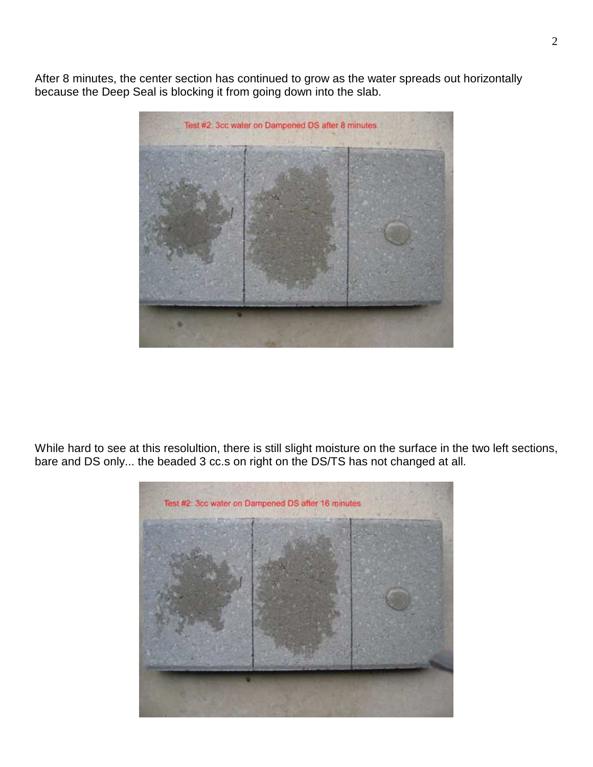After 8 minutes, the center section has continued to grow as the water spreads out horizontally because the Deep Seal is blocking it from going down into the slab.



While hard to see at this resolultion, there is still slight moisture on the surface in the two left sections, bare and DS only... the beaded 3 cc.s on right on the DS/TS has not changed at all.

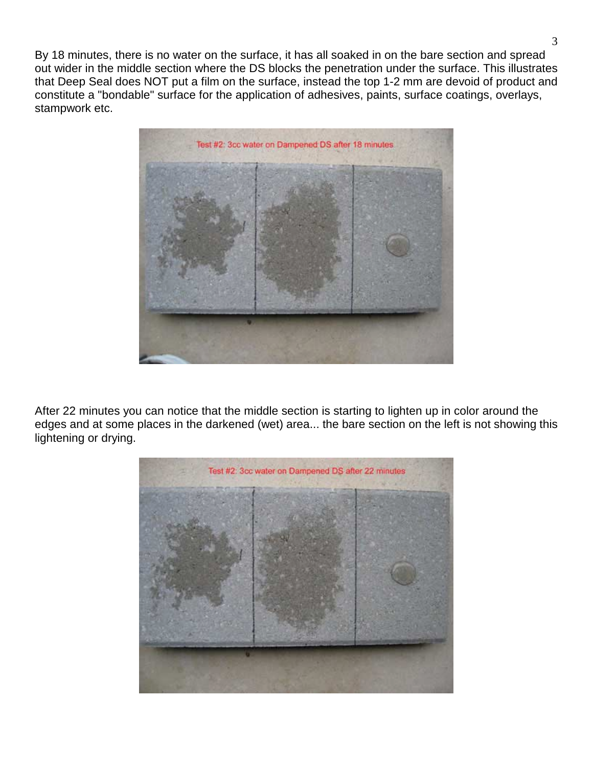By 18 minutes, there is no water on the surface, it has all soaked in on the bare section and spread out wider in the middle section where the DS blocks the penetration under the surface. This illustrates that Deep Seal does NOT put a film on the surface, instead the top 1-2 mm are devoid of product and constitute a "bondable" surface for the application of adhesives, paints, surface coatings, overlays, stampwork etc.



After 22 minutes you can notice that the middle section is starting to lighten up in color around the edges and at some places in the darkened (wet) area... the bare section on the left is not showing this lightening or drying.

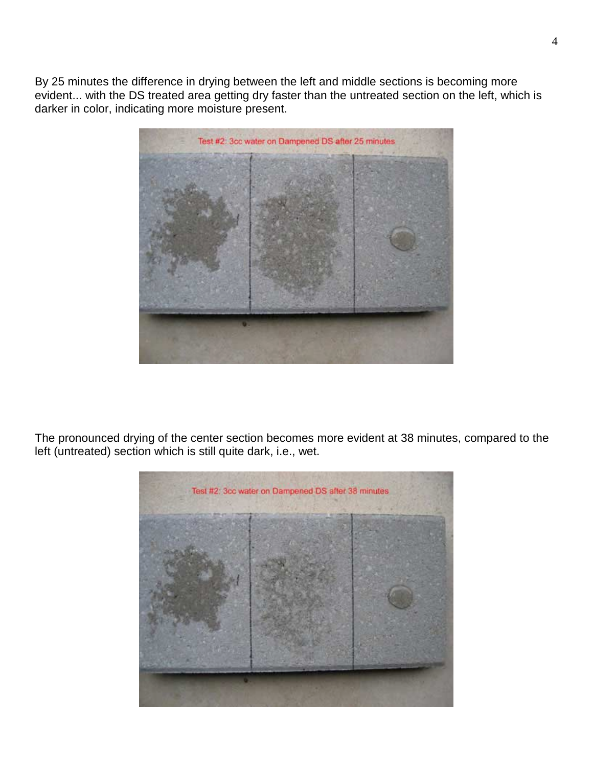By 25 minutes the difference in drying between the left and middle sections is becoming more evident... with the DS treated area getting dry faster than the untreated section on the left, which is darker in color, indicating more moisture present.



The pronounced drying of the center section becomes more evident at 38 minutes, compared to the left (untreated) section which is still quite dark, i.e., wet.

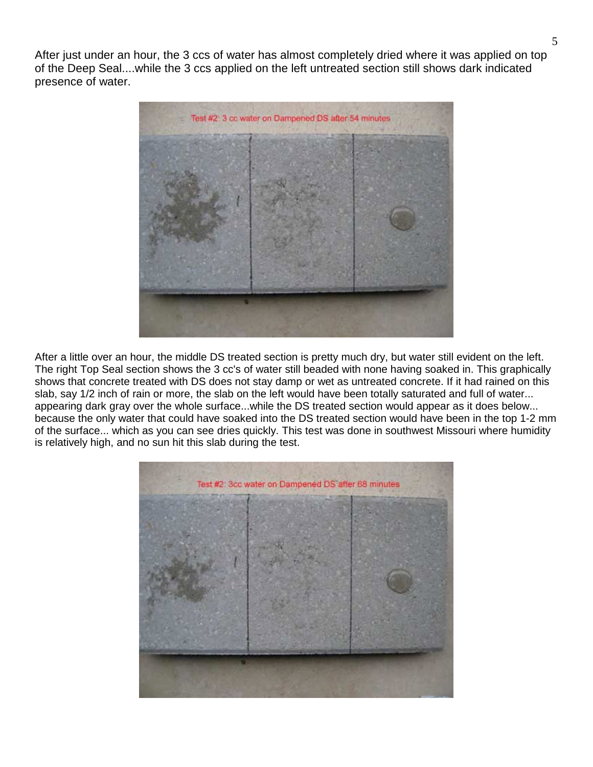After just under an hour, the 3 ccs of water has almost completely dried where it was applied on top of the Deep Seal....while the 3 ccs applied on the left untreated section still shows dark indicated presence of water.



After a little over an hour, the middle DS treated section is pretty much dry, but water still evident on the left. The right Top Seal section shows the 3 cc's of water still beaded with none having soaked in. This graphically shows that concrete treated with DS does not stay damp or wet as untreated concrete. If it had rained on this slab, say 1/2 inch of rain or more, the slab on the left would have been totally saturated and full of water... appearing dark gray over the whole surface...while the DS treated section would appear as it does below... because the only water that could have soaked into the DS treated section would have been in the top 1-2 mm of the surface... which as you can see dries quickly. This test was done in southwest Missouri where humidity is relatively high, and no sun hit this slab during the test.